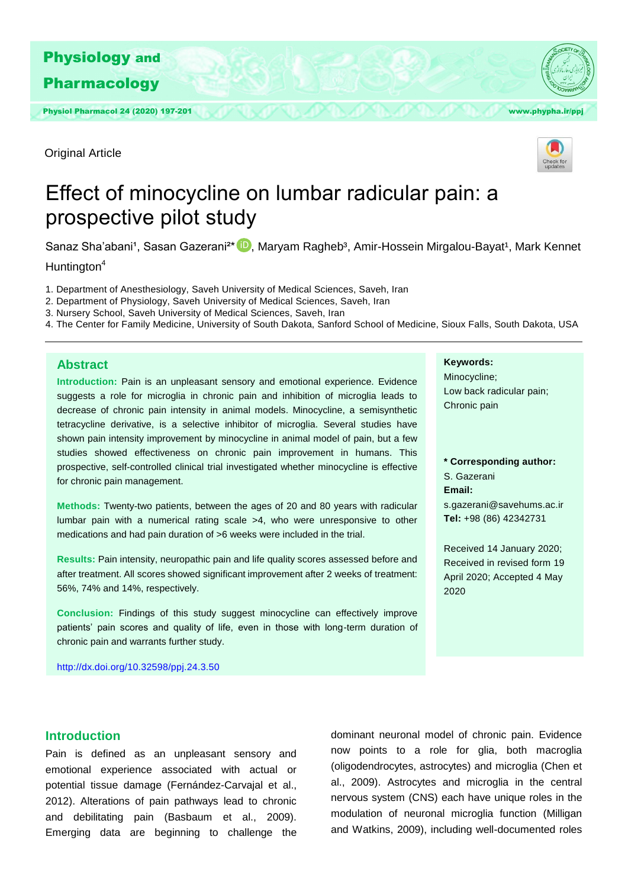

Original Article



# Effect of minocycline on lumbar radicular pain: a prospective pilot study

Sanaz Sha'abani<sup>1</sup>, Sasan Gazerani<sup>2\*</sup> (D), Maryam Ragheb<sup>3</sup>, Amir-Hossein Mirgalou-Bayat<sup>1</sup>, Mark Kennet

Huntington<sup>4</sup>

1. Department of Anesthesiology, Saveh University of Medical Sciences, Saveh, Iran

- 2. Department of Physiology, Saveh University of Medical Sciences, Saveh, Iran
- 3. Nursery School, Saveh University of Medical Sciences, Saveh, Iran
- 4. The Center for Family Medicine, University of South Dakota, Sanford School of Medicine, Sioux Falls, South Dakota, USA

## **Abstract**

**Introduction:** Pain is an unpleasant sensory and emotional experience. Evidence suggests a role for microglia in chronic pain and inhibition of microglia leads to decrease of chronic pain intensity in animal models. Minocycline, a semisynthetic tetracycline derivative, is a selective inhibitor of microglia. Several studies have shown pain intensity improvement by minocycline in animal model of pain, but a few studies showed effectiveness on chronic pain improvement in humans. This prospective, self-controlled clinical trial investigated whether minocycline is effective for chronic pain management.

**Methods:** Twenty-two patients, between the ages of 20 and 80 years with radicular lumbar pain with a numerical rating scale >4, who were unresponsive to other medications and had pain duration of >6 weeks were included in the trial.

**Results:** Pain intensity, neuropathic pain and life quality scores assessed before and after treatment. All scores showed significant improvement after 2 weeks of treatment: 56%, 74% and 14%, respectively.

**Conclusion:** Findings of this study suggest minocycline can effectively improve patients' pain scores and quality of life, even in those with long-term duration of chronic pain and warrants further study.

<http://dx.doi.org/10.32598/ppj.24.3.50>

#### **Keywords:**

Minocycline; Low back radicular pain; Chronic pain

**\* Corresponding author:**  S. Gazerani **Email:**  s.gazerani@savehums.ac.ir **Tel:** +98 (86) 42342731

Received 14 January 2020; Received in revised form 19 April 2020; Accepted 4 May 2020

#### **Introduction**

Pain is defined as an unpleasant sensory and emotional experience associated with actual or potential tissue damage (Fernández-Carvajal et al., 2012). Alterations of pain pathways lead to chronic and debilitating pain (Basbaum et al., 2009). Emerging data are beginning to challenge the

dominant neuronal model of chronic pain. Evidence now points to a role for glia, both macroglia (oligodendrocytes, astrocytes) and microglia (Chen et al., 2009). Astrocytes and microglia in the central nervous system (CNS) each have unique roles in the modulation of neuronal microglia function (Milligan and Watkins, 2009), including well-documented roles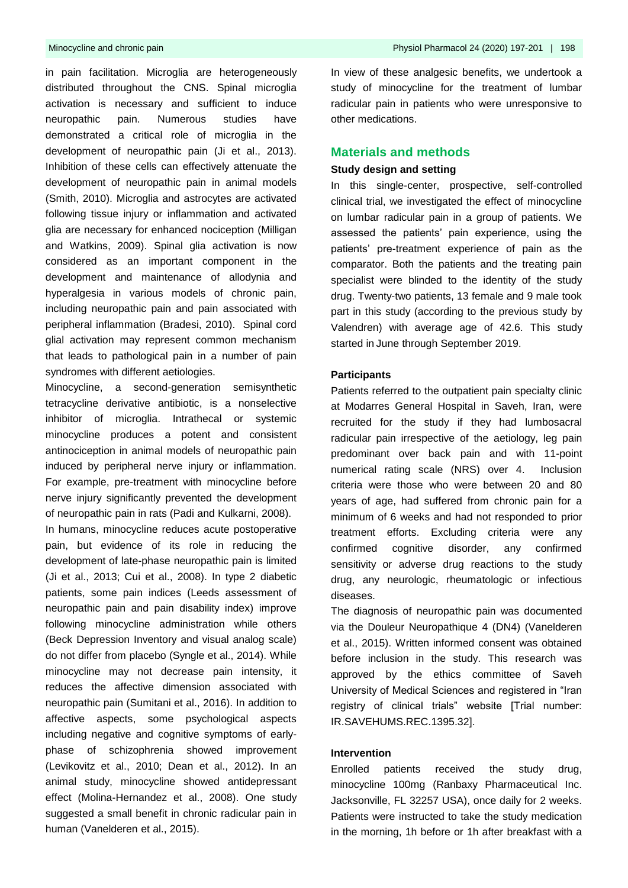in pain facilitation. Microglia are heterogeneously distributed throughout the CNS. Spinal microglia activation is necessary and sufficient to induce neuropathic pain. Numerous studies have demonstrated a critical role of microglia in the development of neuropathic pain (Ji et al., 2013). Inhibition of these cells can effectively attenuate the development of neuropathic pain in animal models (Smith, 2010). Microglia and astrocytes are activated following tissue injury or inflammation and activated glia are necessary for enhanced nociception (Milligan and Watkins, 2009). Spinal glia activation is now considered as an important component in the development and maintenance of allodynia and hyperalgesia in various models of chronic pain, including neuropathic pain and pain associated with peripheral inflammation (Bradesi, 2010). Spinal cord glial activation may represent common mechanism that leads to pathological pain in a number of pain syndromes with different aetiologies.

Minocycline, a second-generation semisynthetic tetracycline derivative antibiotic, is a nonselective inhibitor of microglia. Intrathecal or systemic minocycline produces a potent and consistent antinociception in animal models of neuropathic pain induced by peripheral nerve injury or inflammation. For example, pre-treatment with minocycline before nerve injury significantly prevented the development of neuropathic pain in rats (Padi and Kulkarni, 2008).

In humans, minocycline reduces acute postoperative pain, but evidence of its role in reducing the development of late-phase neuropathic pain is limited (Ji et al., 2013; Cui et al., 2008). In type 2 diabetic patients, some pain indices (Leeds assessment of neuropathic pain and pain disability index) improve following minocycline administration while others (Beck Depression Inventory and visual analog scale) do not differ from placebo (Syngle et al., 2014). While minocycline may not decrease pain intensity, it reduces the affective dimension associated with neuropathic pain (Sumitani et al., 2016). In addition to affective aspects, some psychological aspects including negative and cognitive symptoms of earlyphase of schizophrenia showed improvement (Levikovitz et al., 2010; Dean et al., 2012). In an animal study, minocycline showed antidepressant effect (Molina-Hernandez et al., 2008). One study suggested a small benefit in chronic radicular pain in human (Vanelderen et al., 2015).

Minocycline and chronic pain Physiol Pharmacol 24 (2020) 197-201 | 198

In view of these analgesic benefits, we undertook a study of minocycline for the treatment of lumbar radicular pain in patients who were unresponsive to other medications.

### **Materials and methods**

### **Study design and setting**

In this single-center, prospective, self-controlled clinical trial, we investigated the effect of minocycline on lumbar radicular pain in a group of patients. We assessed the patients' pain experience, using the patients' pre-treatment experience of pain as the comparator. Both the patients and the treating pain specialist were blinded to the identity of the study drug. Twenty-two patients, 13 female and 9 male took part in this study (according to the previous study by Valendren) with average age of 42.6. This study started in June through September 2019.

#### **Participants**

Patients referred to the outpatient pain specialty clinic at Modarres General Hospital in Saveh, Iran, were recruited for the study if they had lumbosacral radicular pain irrespective of the aetiology, leg pain predominant over back pain and with 11-point numerical rating scale (NRS) over 4. Inclusion criteria were those who were between 20 and 80 years of age, had suffered from chronic pain for a minimum of 6 weeks and had not responded to prior treatment efforts. Excluding criteria were any confirmed cognitive disorder, any confirmed sensitivity or adverse drug reactions to the study drug, any neurologic, rheumatologic or infectious diseases.

The diagnosis of neuropathic pain was documented via the Douleur Neuropathique 4 (DN4) (Vanelderen et al., 2015). Written informed consent was obtained before inclusion in the study. This research was approved by the ethics committee of Saveh University of Medical Sciences and registered in "Iran registry of clinical trials" website [Trial number: IR.SAVEHUMS.REC.1395.32].

#### **Intervention**

Enrolled patients received the study drug, minocycline 100mg (Ranbaxy Pharmaceutical Inc. Jacksonville, FL 32257 USA), once daily for 2 weeks. Patients were instructed to take the study medication in the morning, 1h before or 1h after breakfast with a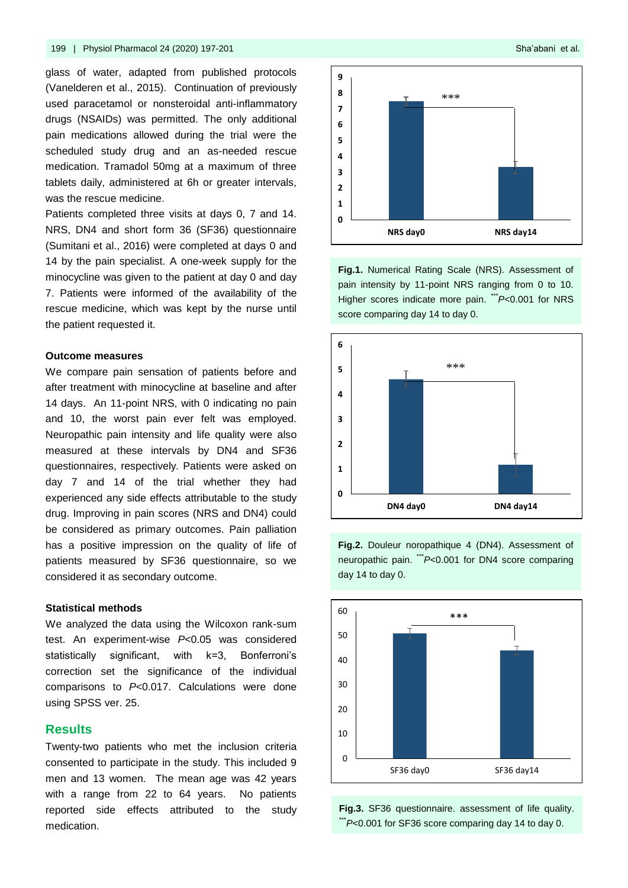glass of water, adapted from published protocols (Vanelderen et al., 2015). Continuation of previously used paracetamol or nonsteroidal anti-inflammatory drugs (NSAIDs) was permitted. The only additional pain medications allowed during the trial were the scheduled study drug and an as-needed rescue medication. Tramadol 50mg at a maximum of three tablets daily, administered at 6h or greater intervals, was the rescue medicine.

Patients completed three visits at days 0, 7 and 14. NRS, DN4 and short form 36 (SF36) questionnaire (Sumitani et al., 2016) were completed at days 0 and 14 by the pain specialist. A one-week supply for the minocycline was given to the patient at day 0 and day 7. Patients were informed of the availability of the rescue medicine, which was kept by the nurse until the patient requested it.

#### **Outcome measures**

We compare pain sensation of patients before and after treatment with minocycline at baseline and after 14 days. An 11-point NRS, with 0 indicating no pain and 10, the worst pain ever felt was employed. Neuropathic pain intensity and life quality were also measured at these intervals by DN4 and SF36 questionnaires, respectively. Patients were asked on day 7 and 14 of the trial whether they had experienced any side effects attributable to the study drug. Improving in pain scores (NRS and DN4) could be considered as primary outcomes. Pain palliation has a positive impression on the quality of life of patients measured by SF36 questionnaire, so we considered it as secondary outcome.

#### **Statistical methods**

We analyzed the data using the Wilcoxon rank-sum test. An experiment-wise *P*<0.05 was considered statistically significant, with k=3, Bonferroni's correction set the significance of the individual comparisons to *P*<0.017. Calculations were done using SPSS ver. 25.

#### **Results**

Twenty-two patients who met the inclusion criteria consented to participate in the study. This included 9 men and 13 women. The mean age was 42 years with a range from 22 to 64 years. No patients reported side effects attributed to the study medication.



**Fig.1.** Numerical Rating Scale (NRS). Assessment of pain intensity by 11-point NRS ranging from 0 to 10. Higher scores indicate more pain. <sup>\*\*\*</sup>*P*<0.001 for NRS score comparing day 14 to day 0.



**Fig.2.** Douleur noropathique 4 (DN4). Assessment of neuropathic pain. \*\*\**P*<0.001 for DN4 score comparing day 14 to day 0.



**Fig.3.** SF36 questionnaire. assessment of life quality.  $*P$ <0.001 for SF36 score comparing day 14 to day 0.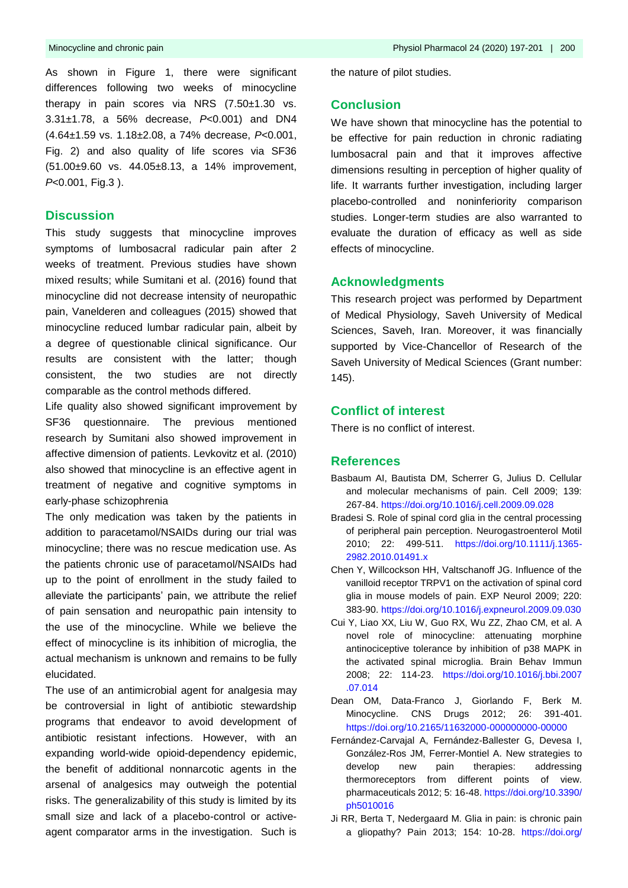As shown in Figure 1, there were significant differences following two weeks of minocycline therapy in pain scores via NRS (7.50±1.30 vs. 3.31±1.78, a 56% decrease, *P*<0.001) and DN4 (4.64±1.59 vs. 1.18±2.08, a 74% decrease, *P*<0.001, Fig. 2) and also quality of life scores via SF36 (51.00±9.60 vs. 44.05±8.13, a 14% improvement, *P*<0.001, Fig.3 ).

#### **Discussion**

This study suggests that minocycline improves symptoms of lumbosacral radicular pain after 2 weeks of treatment. Previous studies have shown mixed results; while Sumitani et al. (2016) found that minocycline did not decrease intensity of neuropathic pain, Vanelderen and colleagues (2015) showed that minocycline reduced lumbar radicular pain, albeit by a degree of questionable clinical significance. Our results are consistent with the latter; though consistent, the two studies are not directly comparable as the control methods differed.

Life quality also showed significant improvement by SF36 questionnaire. The previous mentioned research by Sumitani also showed improvement in affective dimension of patients. Levkovitz et al. (2010) also showed that minocycline is an effective agent in treatment of negative and cognitive symptoms in early-phase schizophrenia

The only medication was taken by the patients in addition to paracetamol/NSAIDs during our trial was minocycline; there was no rescue medication use. As the patients chronic use of paracetamol/NSAIDs had up to the point of enrollment in the study failed to alleviate the participants' pain, we attribute the relief of pain sensation and neuropathic pain intensity to the use of the minocycline. While we believe the effect of minocycline is its inhibition of microglia, the actual mechanism is unknown and remains to be fully elucidated.

The use of an antimicrobial agent for analgesia may be controversial in light of antibiotic stewardship programs that endeavor to avoid development of antibiotic resistant infections. However, with an expanding world-wide opioid-dependency epidemic, the benefit of additional nonnarcotic agents in the arsenal of analgesics may outweigh the potential risks. The generalizability of this study is limited by its small size and lack of a placebo-control or activeagent comparator arms in the investigation. Such is

the nature of pilot studies.

### **Conclusion**

We have shown that minocycline has the potential to be effective for pain reduction in chronic radiating lumbosacral pain and that it improves affective dimensions resulting in perception of higher quality of life. It warrants further investigation, including larger placebo-controlled and noninferiority comparison studies. Longer-term studies are also warranted to evaluate the duration of efficacy as well as side effects of minocycline.

#### **Acknowledgments**

This research project was performed by Department of Medical Physiology, Saveh University of Medical Sciences, Saveh, Iran. Moreover, it was financially supported by Vice-Chancellor of Research of the Saveh University of Medical Sciences (Grant number: 145).

# **Conflict of interest**

There is no conflict of interest.

#### **References**

- Basbaum AI, Bautista DM, Scherrer G, Julius D. Cellular and molecular mechanisms of pain. Cell 2009; 139: 267-84.<https://doi.org/10.1016/j.cell.2009.09.028>
- Bradesi S. Role of spinal cord glia in the central processing of peripheral pain perception. Neurogastroenterol Motil 2010; 22: 499-511. [https://doi.org/10.1111/j.1365-](https://doi.org/10.1111/j.1365-2982.2010.01491.x) [2982.2010.01491.x](https://doi.org/10.1111/j.1365-2982.2010.01491.x)
- Chen Y, Willcockson HH, Valtschanoff JG. Influence of the vanilloid receptor TRPV1 on the activation of spinal cord glia in mouse models of pain. EXP Neurol 2009; 220: 383-90. <https://doi.org/10.1016/j.expneurol.2009.09.030>
- Cui Y, Liao XX, Liu W, Guo RX, Wu ZZ, Zhao CM, et al. A novel role of minocycline: attenuating morphine antinociceptive tolerance by inhibition of p38 MAPK in the activated spinal microglia. Brain Behav Immun 2008; 22: 114-23. [https://doi.org/10.1016/j.bbi.2007](https://doi.org/10.1016/j.bbi.2007.07.014) [.07.014](https://doi.org/10.1016/j.bbi.2007.07.014)
- Dean OM, Data-Franco J, Giorlando F, Berk M. Minocycline. CNS Drugs 2012; 26: 391-401. <https://doi.org/10.2165/11632000-000000000-00000>
- Fernández-Carvajal A, Fernández-Ballester G, Devesa I, González-Ros JM, Ferrer-Montiel A. New strategies to develop new pain therapies: addressing thermoreceptors from different points of view. pharmaceuticals 2012; 5: 16-48. [https://doi.org/10.3390/](https://doi.org/10.3390/ph5010016) [ph5010016](https://doi.org/10.3390/ph5010016)
- Ji RR, Berta T, Nedergaard M. Glia in pain: is chronic pain a gliopathy? Pain 2013; 154: 10-28. [https://doi.org/](https://doi.org/10.1016/j.pain.2013.06.022)